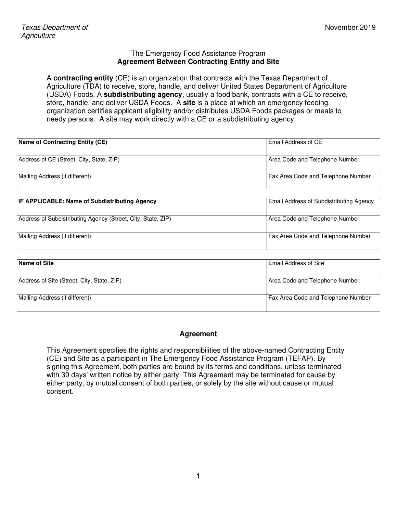#### The Emergency Food Assistance Program **Agreement Between Contracting Entity and Site**

A **contracting entity** (CE) is an organization that contracts with the Texas Department of Agriculture (TDA) to receive, store, handle, and deliver United States Department of Agriculture (USDA) Foods. A **subdistributing agency**, usually a food bank, contracts with a CE to receive, store, handle, and deliver USDA Foods. A **site** is a place at which an emergency feeding organization certifies applicant eligibility and/or distributes USDA Foods packages or meals to needy persons. A site may work directly with a CE or a subdistributing agency.

| Name of Contracting Entity (CE)          | l Email Address of CE                     |
|------------------------------------------|-------------------------------------------|
| Address of CE (Street, City, State, ZIP) | Area Code and Telephone Number            |
| Mailing Address (if different)           | <b>Fax Area Code and Telephone Number</b> |

| <b>IF APPLICABLE: Name of Subdistributing Agency</b>         | <b>Email Address of Subdistributing Agency</b> |
|--------------------------------------------------------------|------------------------------------------------|
| Address of Subdistributing Agency (Street, City, State, ZIP) | Area Code and Telephone Number                 |
| Mailing Address (if different)                               | <b>Fax Area Code and Telephone Number</b>      |

| Name of Site                               | <b>I Email Address of Site</b>            |
|--------------------------------------------|-------------------------------------------|
| Address of Site (Street, City, State, ZIP) | Area Code and Telephone Number            |
| Mailing Address (if different)             | <b>Fax Area Code and Telephone Number</b> |

#### **Agreement**

This Agreement specifies the rights and responsibilities of the above-named Contracting Entity (CE) and Site as a participant in The Emergency Food Assistance Program (TEFAP). By signing this Agreement, both parties are bound by its terms and conditions, unless terminated with 30 days' written notice by either party. This Agreement may be terminated for cause by either party, by mutual consent of both parties, or solely by the site without cause or mutual consent.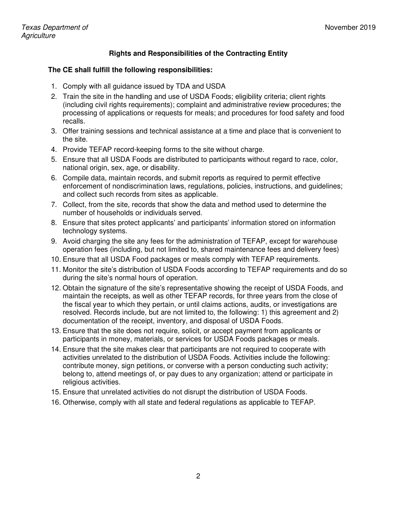# **Rights and Responsibilities of the Contracting Entity**

#### **The CE shall fulfill the following responsibilities:**

- 1. Comply with all guidance issued by TDA and USDA
- 2. Train the site in the handling and use of USDA Foods; eligibility criteria; client rights (including civil rights requirements); complaint and administrative review procedures; the processing of applications or requests for meals; and procedures for food safety and food recalls.
- 3. Offer training sessions and technical assistance at a time and place that is convenient to the site.
- 4. Provide TEFAP record-keeping forms to the site without charge.
- 5. Ensure that all USDA Foods are distributed to participants without regard to race, color, national origin, sex, age, or disability.
- 6. Compile data, maintain records, and submit reports as required to permit effective enforcement of nondiscrimination laws, regulations, policies, instructions, and guidelines; and collect such records from sites as applicable.
- 7. Collect, from the site, records that show the data and method used to determine the number of households or individuals served.
- 8. Ensure that sites protect applicants' and participants' information stored on information technology systems.
- 9. Avoid charging the site any fees for the administration of TEFAP, except for warehouse operation fees (including, but not limited to, shared maintenance fees and delivery fees)
- 10. Ensure that all USDA Food packages or meals comply with TEFAP requirements.
- 11. Monitor the site's distribution of USDA Foods according to TEFAP requirements and do so during the site's normal hours of operation.
- 12. Obtain the signature of the site's representative showing the receipt of USDA Foods, and maintain the receipts, as well as other TEFAP records, for three years from the close of the fiscal year to which they pertain, or until claims actions, audits, or investigations are resolved. Records include, but are not limited to, the following: 1) this agreement and 2) documentation of the receipt, inventory, and disposal of USDA Foods.
- 13. Ensure that the site does not require, solicit, or accept payment from applicants or participants in money, materials, or services for USDA Foods packages or meals.
- 14. Ensure that the site makes clear that participants are not required to cooperate with activities unrelated to the distribution of USDA Foods. Activities include the following: contribute money, sign petitions, or converse with a person conducting such activity; belong to, attend meetings of, or pay dues to any organization; attend or participate in religious activities.
- 15. Ensure that unrelated activities do not disrupt the distribution of USDA Foods.
- 16. Otherwise, comply with all state and federal regulations as applicable to TEFAP.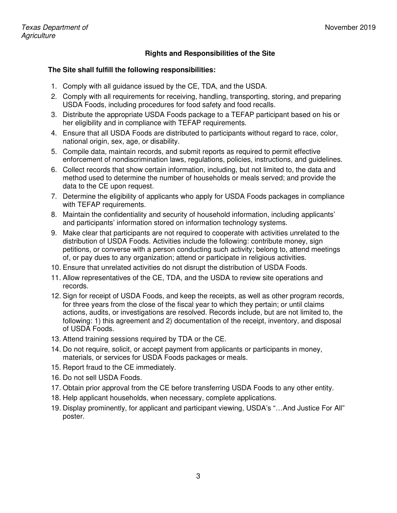## **Rights and Responsibilities of the Site**

#### **The Site shall fulfill the following responsibilities:**

- 1. Comply with all guidance issued by the CE, TDA, and the USDA.
- 2. Comply with all requirements for receiving, handling, transporting, storing, and preparing USDA Foods, including procedures for food safety and food recalls.
- 3. Distribute the appropriate USDA Foods package to a TEFAP participant based on his or her eligibility and in compliance with TEFAP requirements.
- 4. Ensure that all USDA Foods are distributed to participants without regard to race, color, national origin, sex, age, or disability.
- 5. Compile data, maintain records, and submit reports as required to permit effective enforcement of nondiscrimination laws, regulations, policies, instructions, and guidelines.
- 6. Collect records that show certain information, including, but not limited to, the data and method used to determine the number of households or meals served; and provide the data to the CE upon request.
- 7. Determine the eligibility of applicants who apply for USDA Foods packages in compliance with TEFAP requirements.
- 8. Maintain the confidentiality and security of household information, including applicants' and participants' information stored on information technology systems.
- 9. Make clear that participants are not required to cooperate with activities unrelated to the distribution of USDA Foods. Activities include the following: contribute money, sign petitions, or converse with a person conducting such activity; belong to, attend meetings of, or pay dues to any organization; attend or participate in religious activities.
- 10. Ensure that unrelated activities do not disrupt the distribution of USDA Foods.
- 11. Allow representatives of the CE, TDA, and the USDA to review site operations and records.
- 12. Sign for receipt of USDA Foods, and keep the receipts, as well as other program records, for three years from the close of the fiscal year to which they pertain; or until claims actions, audits, or investigations are resolved. Records include, but are not limited to, the following: 1) this agreement and 2) documentation of the receipt, inventory, and disposal of USDA Foods.
- 13. Attend training sessions required by TDA or the CE.
- 14. Do not require, solicit, or accept payment from applicants or participants in money, materials, or services for USDA Foods packages or meals.
- 15. Report fraud to the CE immediately.
- 16. Do not sell USDA Foods.
- 17. Obtain prior approval from the CE before transferring USDA Foods to any other entity.
- 18. Help applicant households, when necessary, complete applications.
- 19. Display prominently, for applicant and participant viewing, USDA's "…And Justice For All" poster.